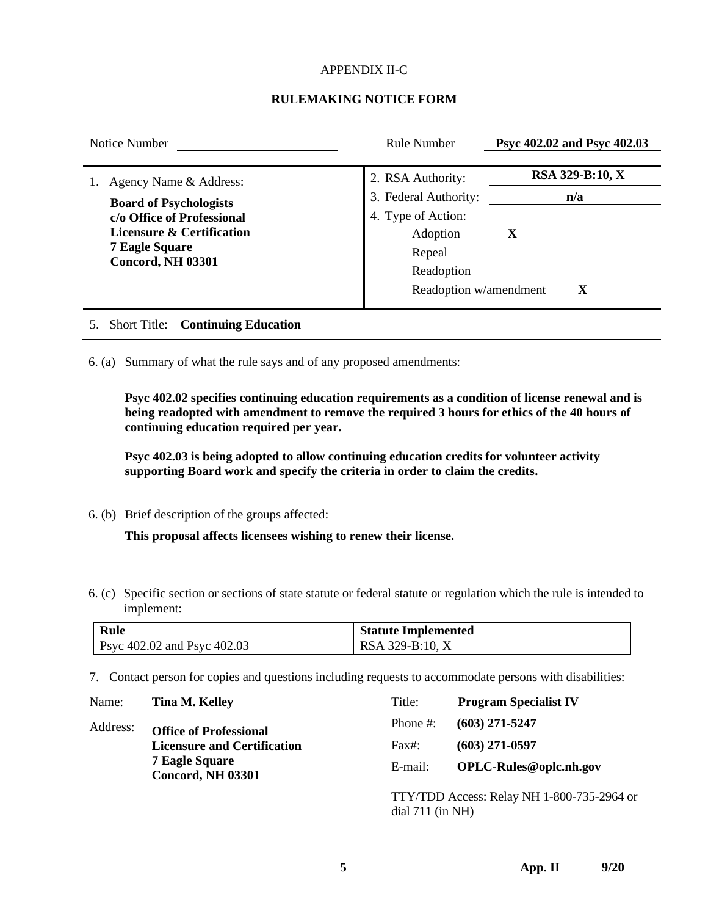## APPENDIX II-C

## **RULEMAKING NOTICE FORM**

| Notice Number                                                                                                                                                           | Rule Number                                                                                                                    | Psyc 402.02 and Psyc 402.03      |
|-------------------------------------------------------------------------------------------------------------------------------------------------------------------------|--------------------------------------------------------------------------------------------------------------------------------|----------------------------------|
| Agency Name & Address:<br><b>Board of Psychologists</b><br>c/o Office of Professional<br>Licensure & Certification<br><b>7 Eagle Square</b><br><b>Concord, NH 03301</b> | 2. RSA Authority:<br>3. Federal Authority:<br>4. Type of Action:<br>Adoption<br>Repeal<br>Readoption<br>Readoption w/amendment | RSA 329-B:10, X<br>n/a<br>X<br>X |
| <b>Continuing Education</b><br><b>Short Title:</b>                                                                                                                      |                                                                                                                                |                                  |

6. (a) Summary of what the rule says and of any proposed amendments:

**Psyc 402.02 specifies continuing education requirements as a condition of license renewal and is being readopted with amendment to remove the required 3 hours for ethics of the 40 hours of continuing education required per year.**

**Psyc 402.03 is being adopted to allow continuing education credits for volunteer activity supporting Board work and specify the criteria in order to claim the credits.**

6. (b) Brief description of the groups affected:

**This proposal affects licensees wishing to renew their license.**

6. (c) Specific section or sections of state statute or federal statute or regulation which the rule is intended to implement:

| Rule                               | <b>Statute Implemented</b> |
|------------------------------------|----------------------------|
| <b>Psyc 402.02 and Psyc 402.03</b> | RSA 329-B:10, X            |

7. Contact person for copies and questions including requests to accommodate persons with disabilities:

| Name:    | Tina M. Kelley                                                                          | Title:             | <b>Program Specialist IV</b>               |
|----------|-----------------------------------------------------------------------------------------|--------------------|--------------------------------------------|
| Address: | <b>Office of Professional</b>                                                           | Phone $#$ :        | $(603)$ 271-5247                           |
|          | <b>Licensure and Certification</b><br><b>7 Eagle Square</b><br><b>Concord, NH 03301</b> | Fax#:              | $(603)$ 271-0597                           |
|          |                                                                                         | E-mail:            | OPLC-Rules@oplc.nh.gov                     |
|          |                                                                                         | dial $711$ (in NH) | TTY/TDD Access: Relay NH 1-800-735-2964 or |